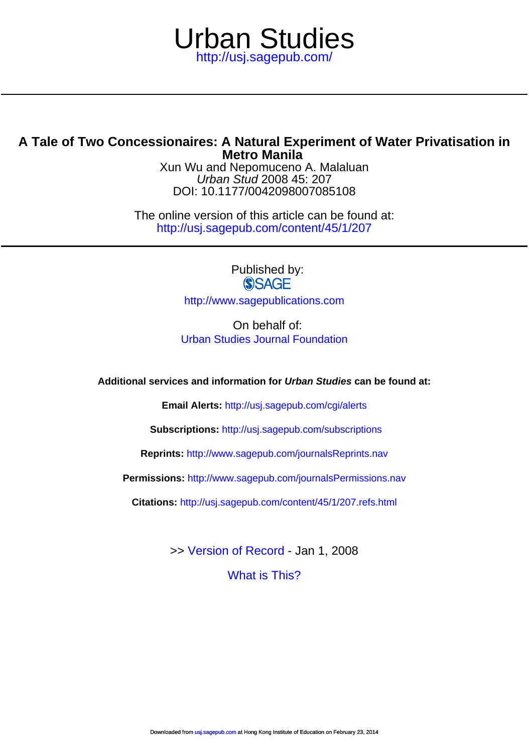

## **Metro Manila A Tale of Two Concession[aires: A Natural Experiment of Wa](http://www.sagepub.com/journalsReprints.nav)ter Privatisation in**

DOI: 10.1177/0042098007085108 Urban Stud [2008 45: 207](http://www.sagepub.com/journalsPermissions.nav) Xun Wu and Nepomuceno A. Malaluan

<http://usj.sagepub.com/content/45/1/207> The online version of this article can be found at:

> Published by:<br>
> SAGE <http://www.sagepublications.com>

On behalf of: [Urban Studies Journal Foundation](http://www.urbanstudiesfoundation.org/)

**Additional services and information for Urban Studies can be found at:**

**Email Alerts:** <http://usj.sagepub.com/cgi/alerts>

**Subscriptions:** <http://usj.sagepub.com/subscriptions>

**Reprints:** <http://www.sagepub.com/journalsReprints.nav>

**Permissions:** <http://www.sagepub.com/journalsPermissions.nav>

**Citations:** <http://usj.sagepub.com/content/45/1/207.refs.html>

>> [Version of Record -](http://usj.sagepub.com/content/45/1/207.full.pdf) Jan 1, 2008

[What is This?](http://online.sagepub.com/site/sphelp/vorhelp.xhtml)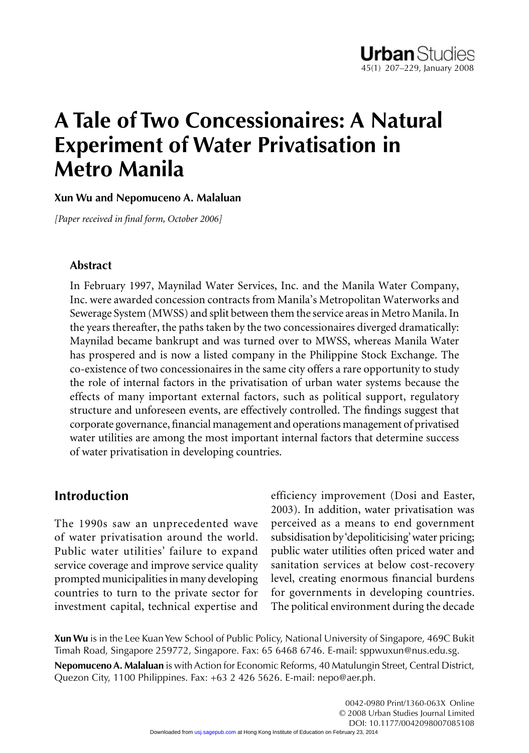# **A Tale of Two Concessionaires: A Natural Experiment of Water Privatisation in Metro Manila**

## **Xun Wu and Nepomuceno A. Malaluan**

*[Paper received in final form, October 2006]*

## **Abstract**

In February 1997, Maynilad Water Services, Inc. and the Manila Water Company, Inc. were awarded concession contracts from Manila's Metropolitan Waterworks and Sewerage System (MWSS) and split between them the service areas in Metro Manila. In the years thereafter, the paths taken by the two concessionaires diverged dramatically: Maynilad became bankrupt and was turned over to MWSS, whereas Manila Water has prospered and is now a listed company in the Philippine Stock Exchange. The co-existence of two concessionaires in the same city offers a rare opportunity to study the role of internal factors in the privatisation of urban water systems because the effects of many important external factors, such as political support, regulatory structure and unforeseen events, are effectively controlled. The findings suggest that corporate governance, financial management and operations management of privatised water utilities are among the most important internal factors that determine success of water privatisation in developing countries.

# **Introduction**

The 1990s saw an unprecedented wave of water privatisation around the world. Public water utilities' failure to expand service coverage and improve service quality prompted municipalities in many developing countries to turn to the private sector for investment capital, technical expertise and

efficiency improvement (Dosi and Easter, 2003). In addition, water privatisation was perceived as a means to end government subsidisation by 'depoliticising' water pricing; public water utilities often priced water and sanitation services at below cost-recovery level, creating enormous financial burdens for governments in developing countries. The political environment during the decade

**Xun Wu** is in the Lee Kuan Yew School of Public Policy, National University of Singapore, 469C Bukit Timah Road, Singapore 259772, Singapore. Fax: 65 6468 6746. E-mail: sppwuxun@nus.edu.sg.

**Nepomuceno A. Malaluan** is with Action for Economic Reforms, 40 Matulungin Street, Central District, Quezon City, 1100 Philippines. Fax: +63 2 426 5626. E-mail: nepo@aer.ph.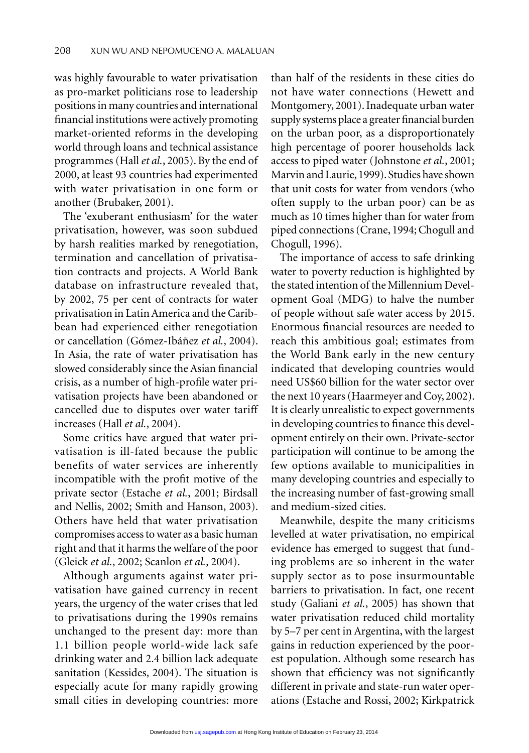was highly favourable to water privatisation as pro-market politicians rose to leadership positions in many countries and international financial institutions were actively promoting market-oriented reforms in the developing world through loans and technical assistance programmes (Hall *et al.*, 2005). By the end of 2000, at least 93 countries had experimented with water privatisation in one form or another (Brubaker, 2001).

The 'exuberant enthusiasm' for the water privatisation, however, was soon subdued by harsh realities marked by renegotiation, termination and cancellation of privatisation contracts and projects. A World Bank database on infrastructure revealed that, by 2002, 75 per cent of contracts for water privatisation in Latin America and the Caribbean had experienced either renegotiation or cancellation (Gómez-Ibáñez *et al.*, 2004). In Asia, the rate of water privatisation has slowed considerably since the Asian financial crisis, as a number of high-profile water privatisation projects have been abandoned or cancelled due to disputes over water tariff increases (Hall *et al.*, 2004).

Some critics have argued that water privatisation is ill-fated because the public benefits of water services are inherently incompatible with the profit motive of the private sector (Estache *et al.*, 2001; Birdsall and Nellis, 2002; Smith and Hanson, 2003). Others have held that water privatisation compromises access to water as a basic human right and that it harms the welfare of the poor (Gleick *et al.*, 2002; Scanlon *et al.*, 2004).

Although arguments against water privatisation have gained currency in recent years, the urgency of the water crises that led to privatisations during the 1990s remains unchanged to the present day: more than 1.1 billion people world-wide lack safe drinking water and 2.4 billion lack adequate sanitation (Kessides, 2004). The situation is especially acute for many rapidly growing small cities in developing countries: more

than half of the residents in these cities do not have water connections (Hewett and Montgomery, 2001). Inadequate urban water supply systems place a greater financial burden on the urban poor, as a disproportionately high percentage of poorer households lack access to piped water (Johnstone *et al.*, 2001; Marvin and Laurie, 1999). Studies have shown that unit costs for water from vendors (who often supply to the urban poor) can be as much as 10 times higher than for water from piped connections (Crane, 1994; Chogull and Chogull, 1996).

The importance of access to safe drinking water to poverty reduction is highlighted by the stated intention of the Millennium Development Goal (MDG) to halve the number of people without safe water access by 2015. Enormous financial resources are needed to reach this ambitious goal; estimates from the World Bank early in the new century indicated that developing countries would need US\$60 billion for the water sector over the next 10 years (Haarmeyer and Coy, 2002). It is clearly unrealistic to expect governments in developing countries to finance this development entirely on their own. Private-sector participation will continue to be among the few options available to municipalities in many developing countries and especially to the increasing number of fast-growing small and medium-sized cities.

Meanwhile, despite the many criticisms levelled at water privatisation, no empirical evidence has emerged to suggest that funding problems are so inherent in the water supply sector as to pose insurmountable barriers to privatisation. In fact, one recent study (Galiani *et al.*, 2005) has shown that water privatisation reduced child mortality by 5–7 per cent in Argentina, with the largest gains in reduction experienced by the poorest population. Although some research has shown that efficiency was not significantly different in private and state-run water oper[ations \(Est](http://usj.sagepub.com/)ache and Rossi, 2002; Kirkpatrick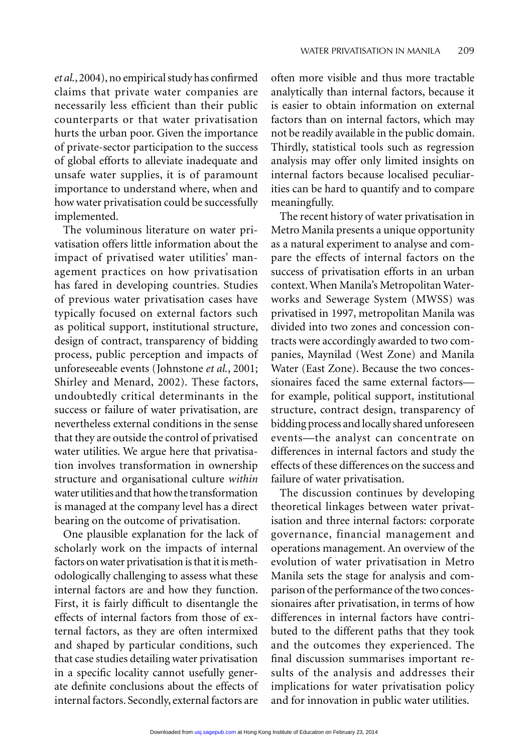*et al.*, 2004), no empirical study has confirmed claims that private water companies are necessarily less efficient than their public counterparts or that water privatisation hurts the urban poor. Given the importance of private-sector participation to the success of global efforts to alleviate inadequate and unsafe water supplies, it is of paramount importance to understand where, when and how water privatisation could be successfully implemented.

The voluminous literature on water privatisation offers little information about the impact of privatised water utilities' management practices on how privatisation has fared in developing countries. Studies of previous water privatisation cases have typically focused on external factors such as political support, institutional structure, design of contract, transparency of bidding process, public perception and impacts of unforeseeable events (Johnstone *et al.*, 2001; Shirley and Menard, 2002). These factors, undoubtedly critical determinants in the success or failure of water privatisation, are nevertheless external conditions in the sense that they are outside the control of privatised water utilities. We argue here that privatisation involves transformation in ownership structure and organisational culture *within* water utilities and that how the transformation is managed at the company level has a direct bearing on the outcome of privatisation.

One plausible explanation for the lack of scholarly work on the impacts of internal factors on water privatisation is that it is methodologically challenging to assess what these internal factors are and how they function. First, it is fairly difficult to disentangle the effects of internal factors from those of external factors, as they are often intermixed and shaped by particular conditions, such that case studies detailing water privatisation in a specific locality cannot usefully generate definite conclusions about the effects of internal factors. Secondly, external factors are often more visible and thus more tractable analytically than internal factors, because it is easier to obtain information on external factors than on internal factors, which may not be readily available in the public domain. Thirdly, statistical tools such as regression analysis may offer only limited insights on internal factors because localised peculiarities can be hard to quantify and to compare meaningfully.

The recent history of water privatisation in Metro Manila presents a unique opportunity as a natural experiment to analyse and compare the effects of internal factors on the success of privatisation efforts in an urban context. When Manila's Metropolitan Waterworks and Sewerage System (MWSS) was privatised in 1997, metropolitan Manila was divided into two zones and concession contracts were accordingly awarded to two companies, Maynilad (West Zone) and Manila Water (East Zone). Because the two concessionaires faced the same external factors for example, political support, institutional structure, contract design, transparency of bidding process and locally shared unforeseen events—the analyst can concentrate on differences in internal factors and study the effects of these differences on the success and failure of water privatisation.

The discussion continues by developing theoretical linkages between water privatisation and three internal factors: corporate governance, financial management and operations management. An overview of the evolution of water privatisation in Metro Manila sets the stage for analysis and comparison of the performance of the two concessionaires after privatisation, in terms of how differences in internal factors have contributed to the different paths that they took and the outcomes they experienced. The final discussion summarises important results of the analysis and addresses their implications for water privatisation policy [and for inn](http://usj.sagepub.com/)ovation in public water utilities.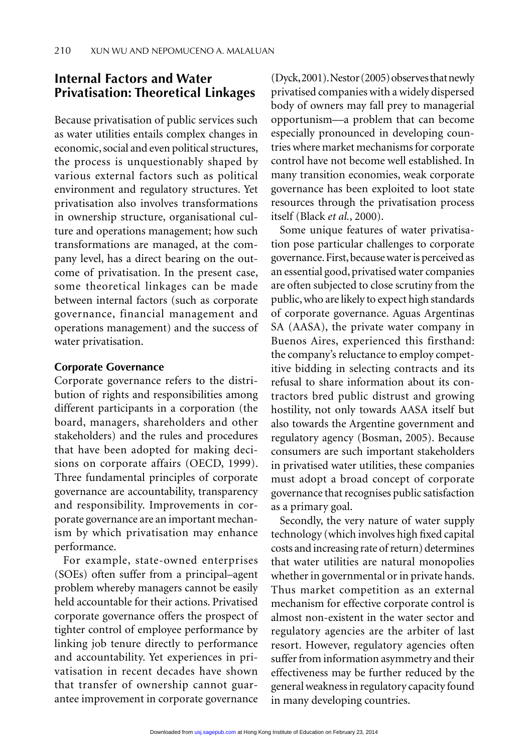# **Internal Factors and Water Privatisation: Theoretical Linkages**

Because privatisation of public services such as water utilities entails complex changes in economic, social and even political structures, the process is unquestionably shaped by various external factors such as political environment and regulatory structures. Yet privatisation also involves transformations in ownership structure, organisational culture and operations management; how such transformations are managed, at the company level, has a direct bearing on the outcome of privatisation. In the present case, some theoretical linkages can be made between internal factors (such as corporate governance, financial management and operations management) and the success of water privatisation.

## **Corporate Governance**

Corporate governance refers to the distribution of rights and responsibilities among different participants in a corporation (the board, managers, shareholders and other stakeholders) and the rules and procedures that have been adopted for making decisions on corporate affairs (OECD, 1999). Three fundamental principles of corporate governance are accountability, transparency and responsibility. Improvements in corporate governance are an important mechanism by which privatisation may enhance performance.

For example, state-owned enterprises (SOEs) often suffer from a principal–agent problem whereby managers cannot be easily held accountable for their actions. Privatised corporate governance offers the prospect of tighter control of employee performance by linking job tenure directly to performance and accountability. Yet experiences in privatisation in recent decades have shown that transfer of ownership cannot guarantee improvement in corporate governance (Dyck, 2001). Nestor (2005) observes that newly privatised companies with a widely dispersed body of owners may fall prey to managerial opportunism—a problem that can become especially pronounced in developing countries where market mechanisms for corporate control have not become well established. In many transition economies, weak corporate governance has been exploited to loot state resources through the privatisation process itself (Black *et al.*, 2000).

Some unique features of water privatisation pose particular challenges to corporate governance. First, because water is perceived as an essential good, privatised water companies are often subjected to close scrutiny from the public, who are likely to expect high standards of corporate governance. Aguas Argentinas SA (AASA), the private water company in Buenos Aires, experienced this firsthand: the company's reluctance to employ competitive bidding in selecting contracts and its refusal to share information about its contractors bred public distrust and growing hostility, not only towards AASA itself but also towards the Argentine government and regulatory agency (Bosman, 2005). Because consumers are such important stakeholders in privatised water utilities, these companies must adopt a broad concept of corporate governance that recognises public satisfaction as a primary goal.

Secondly, the very nature of water supply technology (which involves high fixed capital costs and increasing rate of return) determines that water utilities are natural monopolies whether in governmental or in private hands. Thus market competition as an external mechanism for effective corporate control is almost non-existent in the water sector and regulatory agencies are the arbiter of last resort. However, regulatory agencies often suffer from information asymmetry and their effectiveness may be further reduced by the general weakness in regulatory capacity found [in many d](http://usj.sagepub.com/)eveloping countries.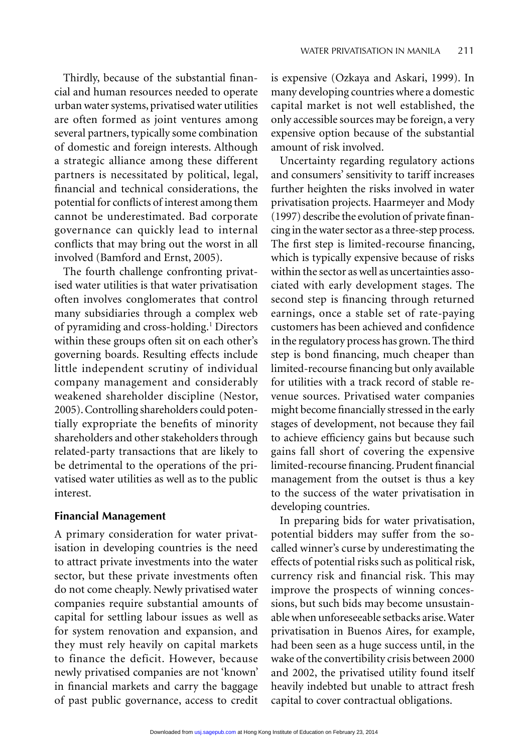Thirdly, because of the substantial financial and human resources needed to operate urban water systems, privatised water utilities are often formed as joint ventures among several partners, typically some combination of domestic and foreign interests. Although a strategic alliance among these different partners is necessitated by political, legal, financial and technical considerations, the potential for conflicts of interest among them cannot be underestimated. Bad corporate governance can quickly lead to internal conflicts that may bring out the worst in all involved (Bamford and Ernst, 2005).

The fourth challenge confronting privatised water utilities is that water privatisation often involves conglomerates that control many subsidiaries through a complex web of pyramiding and cross-holding.<sup>1</sup> Directors within these groups often sit on each other's governing boards. Resulting effects include little independent scrutiny of individual company management and considerably weakened shareholder discipline (Nestor, 2005). Controlling shareholders could potentially expropriate the benefits of minority shareholders and other stakeholders through related-party transactions that are likely to be detrimental to the operations of the privatised water utilities as well as to the public interest.

#### **Financial Management**

A primary consideration for water privatisation in developing countries is the need to attract private investments into the water sector, but these private investments often do not come cheaply. Newly privatised water companies require substantial amounts of capital for settling labour issues as well as for system renovation and expansion, and they must rely heavily on capital markets to finance the deficit. However, because newly privatised companies are not 'known' in financial markets and carry the baggage of past public governance, access to credit is expensive (Ozkaya and Askari, 1999). In many developing countries where a domestic capital market is not well established, the only accessible sources may be foreign, a very expensive option because of the substantial amount of risk involved.

Uncertainty regarding regulatory actions and consumers' sensitivity to tariff increases further heighten the risks involved in water privatisation projects. Haarmeyer and Mody  $(1997)$  describe the evolution of private financing in the water sector as a three-step process. The first step is limited-recourse financing, which is typically expensive because of risks within the sector as well as uncertainties associated with early development stages. The second step is financing through returned earnings, once a stable set of rate-paying customers has been achieved and confidence in the regulatory process has grown. The third step is bond financing, much cheaper than limited-recourse financing but only available for utilities with a track record of stable revenue sources. Privatised water companies might become financially stressed in the early stages of development, not because they fail to achieve efficiency gains but because such gains fall short of covering the expensive limited-recourse financing. Prudent financial management from the outset is thus a key to the success of the water privatisation in developing countries.

In preparing bids for water privatisation, potential bidders may suffer from the socalled winner's curse by underestimating the effects of potential risks such as political risk, currency risk and financial risk. This may improve the prospects of winning concessions, but such bids may become unsustainable when unforeseeable setbacks arise. Water privatisation in Buenos Aires, for example, had been seen as a huge success until, in the wake of the convertibility crisis between 2000 and 2002, the privatised utility found itself heavily indebted but unable to attract fresh [capital to c](http://usj.sagepub.com/)over contractual obligations.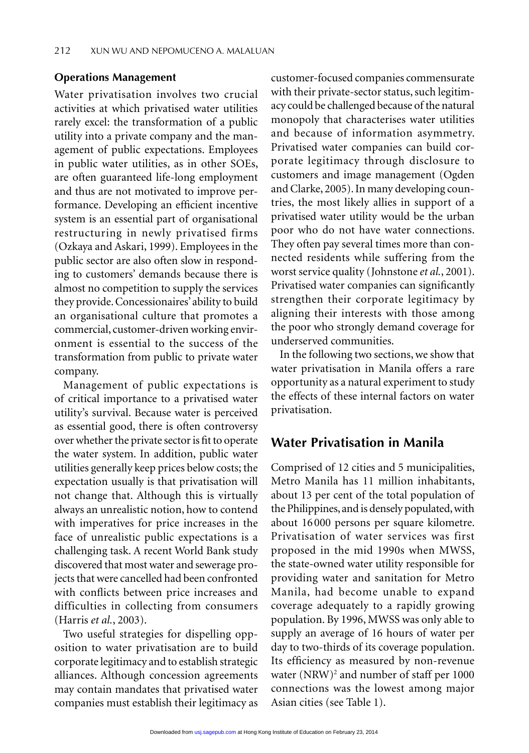### **Operations Management**

Water privatisation involves two crucial activities at which privatised water utilities rarely excel: the transformation of a public utility into a private company and the management of public expectations. Employees in public water utilities, as in other SOEs, are often guaranteed life-long employment and thus are not motivated to improve performance. Developing an efficient incentive system is an essential part of organisational restructuring in newly privatised firms (Ozkaya and Askari, 1999). Employees in the public sector are also often slow in responding to customers' demands because there is almost no competition to supply the services they provide. Concessionaires' ability to build an organisational culture that promotes a commercial, customer-driven working environment is essential to the success of the transformation from public to private water company.

Management of public expectations is of critical importance to a privatised water utility's survival. Because water is perceived as essential good, there is often controversy over whether the private sector is fit to operate the water system. In addition, public water utilities generally keep prices below costs; the expectation usually is that privatisation will not change that. Although this is virtually always an unrealistic notion, how to contend with imperatives for price increases in the face of unrealistic public expectations is a challenging task. A recent World Bank study discovered that most water and sewerage projects that were cancelled had been confronted with conflicts between price increases and difficulties in collecting from consumers (Harris *et al.*, 2003).

Two useful strategies for dispelling opposition to water privatisation are to build corporate legitimacy and to establish strategic alliances. Although concession agreements may contain mandates that privatised water companies must establish their legitimacy as

customer-focused companies commensurate with their private-sector status, such legitimacy could be challenged because of the natural monopoly that characterises water utilities and because of information asymmetry. Privatised water companies can build corporate legitimacy through disclosure to customers and image management (Ogden and Clarke, 2005). In many developing countries, the most likely allies in support of a privatised water utility would be the urban poor who do not have water connections. They often pay several times more than connected residents while suffering from the worst service quality (Johnstone *et al.*, 2001). Privatised water companies can significantly strengthen their corporate legitimacy by aligning their interests with those among the poor who strongly demand coverage for underserved communities.

In the following two sections, we show that water privatisation in Manila offers a rare opportunity as a natural experiment to study the effects of these internal factors on water privatisation.

## **Water Privatisation in Manila**

Comprised of 12 cities and 5 municipalities, Metro Manila has 11 million inhabitants, about 13 per cent of the total population of the Philippines, and is densely populated, with about 16 000 persons per square kilometre. Privatisation of water services was first proposed in the mid 1990s when MWSS, the state-owned water utility responsible for providing water and sanitation for Metro Manila, had become unable to expand coverage adequately to a rapidly growing population. By 1996, MWSS was only able to supply an average of 16 hours of water per day to two-thirds of its coverage population. Its efficiency as measured by non-revenue water  $(NRW)^2$  and number of staff per 1000 connections was the lowest among major [Asian citie](http://usj.sagepub.com/)s (see Table 1).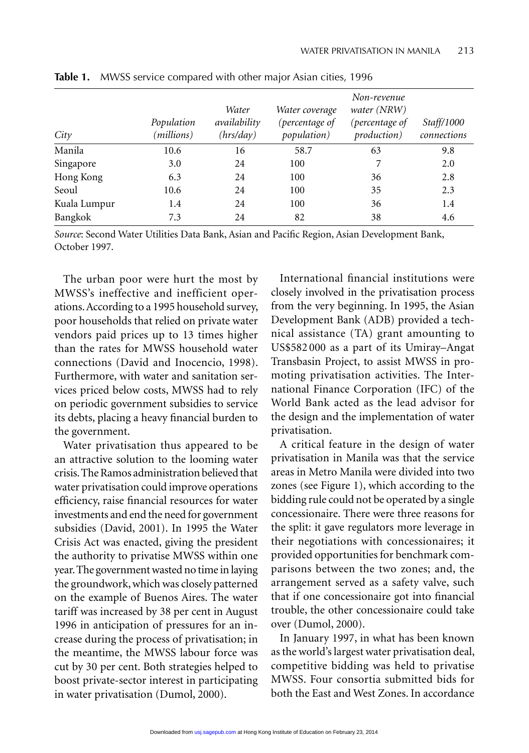| City         | Population<br>(millions) | Water<br>availability<br>(hrs/day) | Water coverage<br>(percentage of<br>population) | Non-revenue<br>water (NRW)<br>(percentage of<br>production) | <i>Staff/1000</i><br>connections |
|--------------|--------------------------|------------------------------------|-------------------------------------------------|-------------------------------------------------------------|----------------------------------|
| Manila       | 10.6                     | 16                                 | 58.7                                            | 63                                                          | 9.8                              |
| Singapore    | 3.0                      | 24                                 | 100                                             | 7                                                           | 2.0                              |
| Hong Kong    | 6.3                      | 24                                 | 100                                             | 36                                                          | 2.8                              |
| Seoul        | 10.6                     | 24                                 | 100                                             | 35                                                          | 2.3                              |
| Kuala Lumpur | 1.4                      | 24                                 | 100                                             | 36                                                          | 1.4                              |
| Bangkok      | 7.3                      | 24                                 | 82                                              | 38                                                          | 4.6                              |

**Table 1.** MWSS service compared with other major Asian cities, 1996

Source: Second Water Utilities Data Bank, Asian and Pacific Region, Asian Development Bank, October 1997.

The urban poor were hurt the most by MWSS's ineffective and inefficient operations. According to a 1995 household survey, poor households that relied on private water vendors paid prices up to 13 times higher than the rates for MWSS household water connections (David and Inocencio, 1998). Furthermore, with water and sanitation services priced below costs, MWSS had to rely on periodic government subsidies to service its debts, placing a heavy financial burden to the government.

Water privatisation thus appeared to be an attractive solution to the looming water crisis. The Ramos administration believed that water privatisation could improve operations efficiency, raise financial resources for water investments and end the need for government subsidies (David, 2001). In 1995 the Water Crisis Act was enacted, giving the president the authority to privatise MWSS within one year. The government wasted no time in laying the groundwork, which was closely patterned on the example of Buenos Aires. The water tariff was increased by 38 per cent in August 1996 in anticipation of pressures for an increase during the process of privatisation; in the meantime, the MWSS labour force was cut by 30 per cent. Both strategies helped to boost private-sector interest in participating in water privatisation (Dumol, 2000).

International financial institutions were closely involved in the privatisation process from the very beginning. In 1995, the Asian Development Bank (ADB) provided a technical assistance (TA) grant amounting to US\$582 000 as a part of its Umiray–Angat Transbasin Project, to assist MWSS in promoting privatisation activities. The International Finance Corporation (IFC) of the World Bank acted as the lead advisor for the design and the implementation of water privatisation.

A critical feature in the design of water privatisation in Manila was that the service areas in Metro Manila were divided into two zones (see Figure 1), which according to the bidding rule could not be operated by a single concessionaire. There were three reasons for the split: it gave regulators more leverage in their negotiations with concessionaires; it provided opportunities for benchmark comparisons between the two zones; and, the arrangement served as a safety valve, such that if one concessionaire got into financial trouble, the other concessionaire could take over (Dumol, 2000).

In January 1997, in what has been known as the world's largest water privatisation deal, competitive bidding was held to privatise MWSS. Four consortia submitted bids for both the East and West Zones. In accordance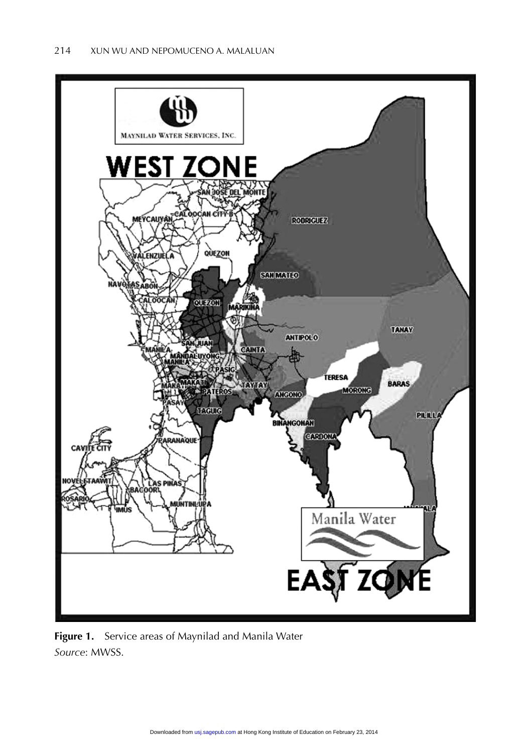

**Figure 1.** Service areas of Maynilad and Manila Water *Source*: MWSS.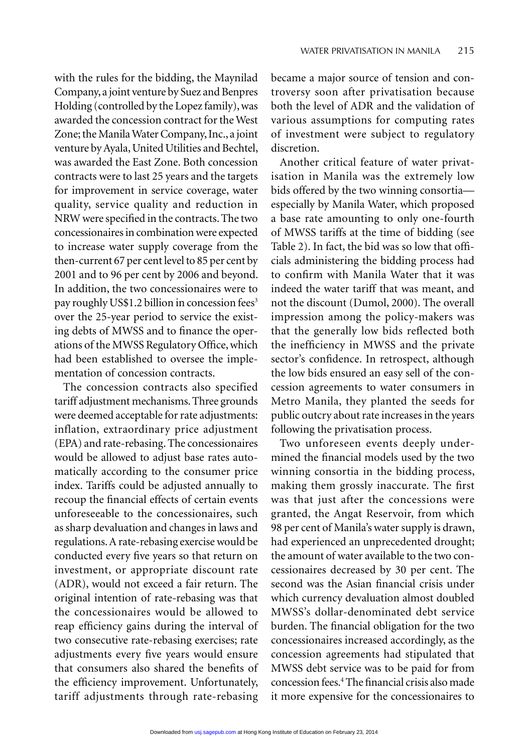with the rules for the bidding, the Maynilad Company, a joint venture by Suez and Benpres Holding (controlled by the Lopez family), was awarded the concession contract for the West Zone; the Manila Water Company, Inc., a joint venture by Ayala, United Utilities and Bechtel, was awarded the East Zone. Both concession contracts were to last 25 years and the targets for improvement in service coverage, water quality, service quality and reduction in NRW were specified in the contracts. The two concessionaires in combination were expected to increase water supply coverage from the then-current 67 per cent level to 85 per cent by 2001 and to 96 per cent by 2006 and beyond. In addition, the two concessionaires were to pay roughly US\$1.2 billion in concession fees<sup>3</sup> over the 25-year period to service the existing debts of MWSS and to finance the operations of the MWSS Regulatory Office, which had been established to oversee the implementation of concession contracts.

The concession contracts also specified tariff adjustment mechanisms. Three grounds were deemed acceptable for rate adjustments: inflation, extraordinary price adjustment (EPA) and rate-rebasing. The concessionaires would be allowed to adjust base rates automatically according to the consumer price index. Tariffs could be adjusted annually to recoup the financial effects of certain events unforeseeable to the concessionaires, such as sharp devaluation and changes in laws and regulations. A rate-rebasing exercise would be conducted every five years so that return on investment, or appropriate discount rate (ADR), would not exceed a fair return. The original intention of rate-rebasing was that the concessionaires would be allowed to reap efficiency gains during the interval of two consecutive rate-rebasing exercises; rate adjustments every five years would ensure that consumers also shared the benefits of the efficiency improvement. Unfortunately, tariff adjustments through rate-rebasing became a major source of tension and controversy soon after privatisation because both the level of ADR and the validation of various assumptions for computing rates of investment were subject to regulatory discretion.

Another critical feature of water privatisation in Manila was the extremely low bids offered by the two winning consortia especially by Manila Water, which proposed a base rate amounting to only one-fourth of MWSS tariffs at the time of bidding (see Table 2). In fact, the bid was so low that officials administering the bidding process had to confirm with Manila Water that it was indeed the water tariff that was meant, and not the discount (Dumol, 2000). The overall impression among the policy-makers was that the generally low bids reflected both the inefficiency in MWSS and the private sector's confidence. In retrospect, although the low bids ensured an easy sell of the concession agreements to water consumers in Metro Manila, they planted the seeds for public outcry about rate increases in the years following the privatisation process.

Two unforeseen events deeply undermined the financial models used by the two winning consortia in the bidding process, making them grossly inaccurate. The first was that just after the concessions were granted, the Angat Reservoir, from which 98 per cent of Manila's water supply is drawn, had experienced an unprecedented drought; the amount of water available to the two concessionaires decreased by 30 per cent. The second was the Asian financial crisis under which currency devaluation almost doubled MWSS's dollar-denominated debt service burden. The financial obligation for the two concessionaires increased accordingly, as the concession agreements had stipulated that MWSS debt service was to be paid for from concession fees.<sup>4</sup> The financial crisis also made it more expensive for the concessionaires to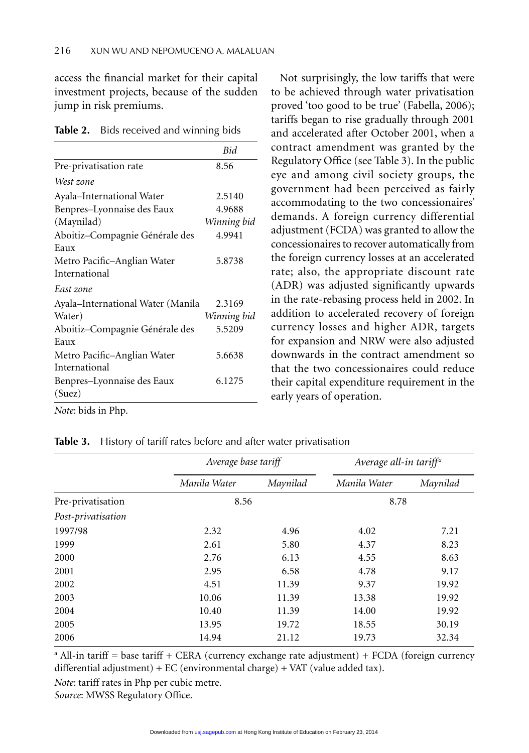access the financial market for their capital investment projects, because of the sudden jump in risk premiums.

| Table 2. |  | Bids received and winning bids |  |  |  |
|----------|--|--------------------------------|--|--|--|
|          |  |                                |  |  |  |
|          |  |                                |  |  |  |

|                                   | Bid         |
|-----------------------------------|-------------|
| Pre-privatisation rate            | 8.56        |
| West zone                         |             |
| Ayala–International Water         | 2.5140      |
| Benpres-Lyonnaise des Eaux        | 4.9688      |
| (Maynilad)                        | Winning bid |
| Aboitiz-Compagnie Générale des    | 4.9941      |
| Eaux                              |             |
| Metro Pacific-Anglian Water       | 5.8738      |
| International                     |             |
| East zone                         |             |
| Ayala–International Water (Manila | 2.3169      |
| Water)                            | Winning bid |
| Aboitiz–Compagnie Générale des    | 5.5209      |
| Eaux                              |             |
| Metro Pacific-Anglian Water       | 5.6638      |
| International                     |             |
| Benpres-Lyonnaise des Eaux        | 6.1275      |
| (Suez)                            |             |
|                                   |             |

Not surprisingly, the low tariffs that were to be achieved through water privatisation proved 'too good to be true' (Fabella, 2006); tariffs began to rise gradually through 2001 and accelerated after October 2001, when a contract amendment was granted by the Regulatory Office (see Table 3). In the public eye and among civil society groups, the government had been perceived as fairly accommodating to the two concessionaires' demands. A foreign currency differential adjustment (FCDA) was granted to allow the concessionaires to recover automatically from the foreign currency losses at an accelerated rate; also, the appropriate discount rate (ADR) was adjusted significantly upwards in the rate-rebasing process held in 2002. In addition to accelerated recovery of foreign currency losses and higher ADR, targets for expansion and NRW were also adjusted downwards in the contract amendment so that the two concessionaires could reduce their capital expenditure requirement in the early years of operation.

*Note*: bids in Php.

**Table 3.** History of tariff rates before and after water privatisation

|                    | Average base tariff |          | Average all-in tariff <sup>a</sup> |          |  |
|--------------------|---------------------|----------|------------------------------------|----------|--|
|                    | Manila Water        | Maynilad | Manila Water                       | Maynilad |  |
| Pre-privatisation  | 8.56                |          | 8.78                               |          |  |
| Post-privatisation |                     |          |                                    |          |  |
| 1997/98            | 2.32                | 4.96     | 4.02                               | 7.21     |  |
| 1999               | 2.61                | 5.80     | 4.37                               | 8.23     |  |
| 2000               | 2.76                | 6.13     | 4.55                               | 8.63     |  |
| 2001               | 2.95                | 6.58     | 4.78                               | 9.17     |  |
| 2002               | 4.51                | 11.39    | 9.37                               | 19.92    |  |
| 2003               | 10.06               | 11.39    | 13.38                              | 19.92    |  |
| 2004               | 10.40               | 11.39    | 14.00                              | 19.92    |  |
| 2005               | 13.95               | 19.72    | 18.55                              | 30.19    |  |
| 2006               | 14.94               | 21.12    | 19.73                              | 32.34    |  |

<sup>a</sup> All-in tariff = base tariff + CERA (currency exchange rate adjustment) + FCDA (foreign currency differential adjustment) + EC (environmental charge) + VAT (value added tax).

*Note*: tariff rates in Php per cubic metre.

*Source*: MWSS Regulatory Office.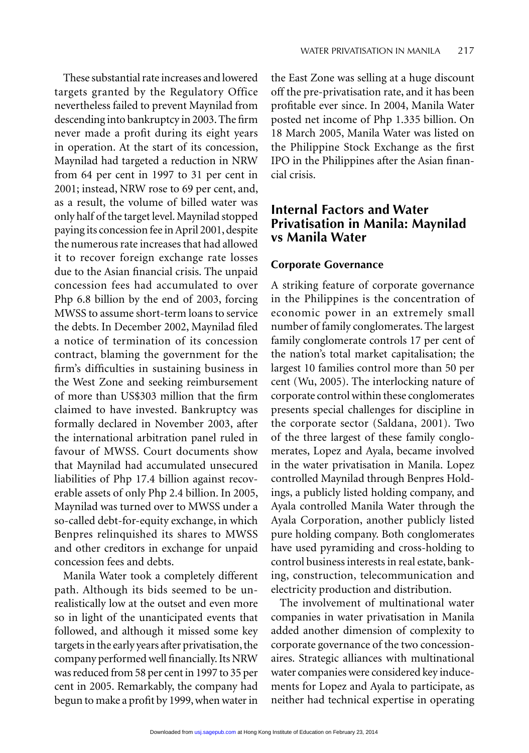These substantial rate increases and lowered targets granted by the Regulatory Office nevertheless failed to prevent Maynilad from descending into bankruptcy in 2003. The firm never made a profit during its eight years in operation. At the start of its concession, Maynilad had targeted a reduction in NRW from 64 per cent in 1997 to 31 per cent in 2001; instead, NRW rose to 69 per cent, and, as a result, the volume of billed water was only half of the target level. Maynilad stopped paying its concession fee in April 2001, despite the numerous rate increases that had allowed it to recover foreign exchange rate losses due to the Asian financial crisis. The unpaid concession fees had accumulated to over Php 6.8 billion by the end of 2003, forcing MWSS to assume short-term loans to service the debts. In December 2002, Maynilad filed a notice of termination of its concession contract, blaming the government for the firm's difficulties in sustaining business in the West Zone and seeking reimbursement of more than US\$303 million that the firm claimed to have invested. Bankruptcy was formally declared in November 2003, after the international arbitration panel ruled in favour of MWSS. Court documents show that Maynilad had accumulated unsecured liabilities of Php 17.4 billion against recoverable assets of only Php 2.4 billion. In 2005, Maynilad was turned over to MWSS under a so-called debt-for-equity exchange, in which Benpres relinquished its shares to MWSS and other creditors in exchange for unpaid concession fees and debts.

Manila Water took a completely different path. Although its bids seemed to be unrealistically low at the outset and even more so in light of the unanticipated events that followed, and although it missed some key targets in the early years after privatisation, the company performed well financially. Its NRW was reduced from 58 per cent in 1997 to 35 per cent in 2005. Remarkably, the company had begun to make a profit by 1999, when water in

the East Zone was selling at a huge discount off the pre-privatisation rate, and it has been profi table ever since. In 2004, Manila Water posted net income of Php 1.335 billion. On 18 March 2005, Manila Water was listed on the Philippine Stock Exchange as the first IPO in the Philippines after the Asian financial crisis.

## **Internal Factors and Water Privatisation in Manila: Maynilad vs Manila Water**

#### **Corporate Governance**

A striking feature of corporate governance in the Philippines is the concentration of economic power in an extremely small number of family conglomerates. The largest family conglomerate controls 17 per cent of the nation's total market capitalisation; the largest 10 families control more than 50 per cent (Wu, 2005). The interlocking nature of corporate control within these conglomerates presents special challenges for discipline in the corporate sector (Saldana, 2001). Two of the three largest of these family conglomerates, Lopez and Ayala, became involved in the water privatisation in Manila. Lopez controlled Maynilad through Benpres Holdings, a publicly listed holding company, and Ayala controlled Manila Water through the Ayala Corporation, another publicly listed pure holding company. Both conglomerates have used pyramiding and cross-holding to control business interests in real estate, banking, construction, telecommunication and electricity production and distribution.

The involvement of multinational water companies in water privatisation in Manila added another dimension of complexity to corporate governance of the two concessionaires. Strategic alliances with multinational water companies were considered key inducements for Lopez and Ayala to participate, as [neither ha](http://usj.sagepub.com/)d technical expertise in operating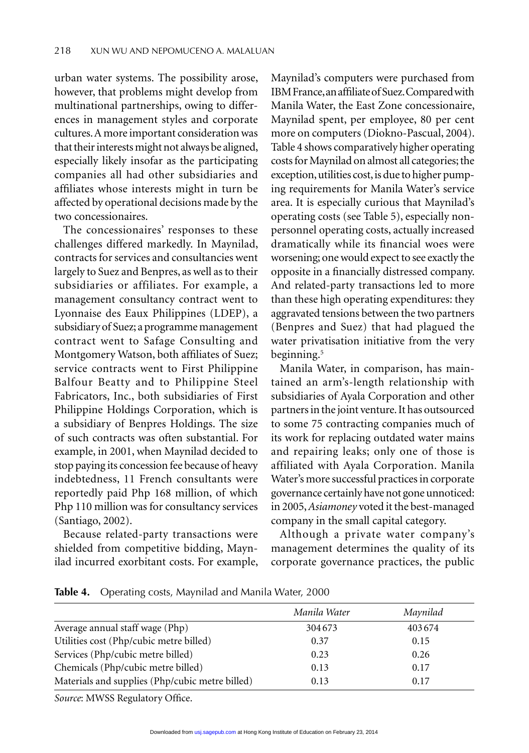urban water systems. The possibility arose, however, that problems might develop from multinational partnerships, owing to differences in management styles and corporate cultures. A more important consideration was that their interests might not always be aligned, especially likely insofar as the participating companies all had other subsidiaries and affiliates whose interests might in turn be affected by operational decisions made by the two concessionaires.

The concessionaires' responses to these challenges differed markedly. In Maynilad, contracts for services and consultancies went largely to Suez and Benpres, as well as to their subsidiaries or affiliates. For example, a management consultancy contract went to Lyonnaise des Eaux Philippines (LDEP), a subsidiary of Suez; a programme management contract went to Safage Consulting and Montgomery Watson, both affiliates of Suez; service contracts went to First Philippine Balfour Beatty and to Philippine Steel Fabricators, Inc., both subsidiaries of First Philippine Holdings Corporation, which is a subsidiary of Benpres Holdings. The size of such contracts was often substantial. For example, in 2001, when Maynilad decided to stop paying its concession fee because of heavy indebtedness, 11 French consultants were reportedly paid Php 168 million, of which Php 110 million was for consultancy services (Santiago, 2002).

Because related-party transactions were shielded from competitive bidding, Maynilad incurred exorbitant costs. For example,

Maynilad's computers were purchased from IBM France, an affiliate of Suez. Compared with Manila Water, the East Zone concessionaire, Maynilad spent, per employee, 80 per cent more on computers (Diokno-Pascual, 2004). Table 4 shows comparatively higher operating costs for Maynilad on almost all categories; the exception, utilities cost, is due to higher pumping requirements for Manila Water's service area. It is especially curious that Maynilad's operating costs (see Table 5), especially nonpersonnel operating costs, actually increased dramatically while its financial woes were worsening; one would expect to see exactly the opposite in a financially distressed company. And related-party transactions led to more than these high operating expenditures: they aggravated tensions between the two partners (Benpres and Suez) that had plagued the water privatisation initiative from the very beginning.<sup>5</sup>

Manila Water, in comparison, has maintained an arm's-length relationship with subsidiaries of Ayala Corporation and other partners in the joint venture. It has outsourced to some 75 contracting companies much of its work for replacing outdated water mains and repairing leaks; only one of those is affiliated with Ayala Corporation. Manila Water's more successful practices in corporate governance certainly have not gone unnoticed: in 2005, *Asiamoney* voted it the best-managed company in the small capital category.

Although a private water company's management determines the quality of its corporate governance practices, the public

|  | Table 4. |  |  |  |  |  | Operating costs, Maynilad and Manila Water, 2000 |
|--|----------|--|--|--|--|--|--------------------------------------------------|
|--|----------|--|--|--|--|--|--------------------------------------------------|

|                                                 | Manila Water | Maynilad |
|-------------------------------------------------|--------------|----------|
| Average annual staff wage (Php)                 | 304673       | 403674   |
| Utilities cost (Php/cubic metre billed)         | 0.37         | 0.15     |
| Services (Php/cubic metre billed)               | 0.23         | 0.26     |
| Chemicals (Php/cubic metre billed)              | 0.13         | 0.17     |
| Materials and supplies (Php/cubic metre billed) | 0.13         | 0.17     |

*Source*: MWSS Regulatory Office.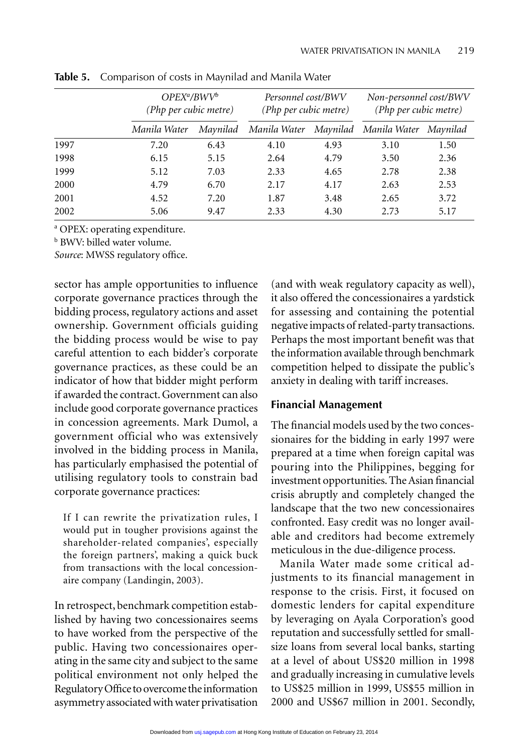|      | $OPEX^a/BWV^b$<br>(Php per cubic metre) |          | Personnel cost/BWV<br>(Php per cubic metre) |      | Non-personnel cost/BWV<br>(Php per cubic metre) |      |
|------|-----------------------------------------|----------|---------------------------------------------|------|-------------------------------------------------|------|
|      | Manila Water                            | Maynilad | Manila Water                                |      | Maynilad Manila Water Maynilad                  |      |
| 1997 | 7.20                                    | 6.43     | 4.10                                        | 4.93 | 3.10                                            | 1.50 |
| 1998 | 6.15                                    | 5.15     | 2.64                                        | 4.79 | 3.50                                            | 2.36 |
| 1999 | 5.12                                    | 7.03     | 2.33                                        | 4.65 | 2.78                                            | 2.38 |
| 2000 | 4.79                                    | 6.70     | 2.17                                        | 4.17 | 2.63                                            | 2.53 |
| 2001 | 4.52                                    | 7.20     | 1.87                                        | 3.48 | 2.65                                            | 3.72 |
| 2002 | 5.06                                    | 9.47     | 2.33                                        | 4.30 | 2.73                                            | 5.17 |

**Table 5.** Comparison of costs in Maynilad and Manila Water

a OPEX: operating expenditure.

b BWV: billed water volume.

*Source*: MWSS regulatory office.

sector has ample opportunities to influence corporate governance practices through the bidding process, regulatory actions and asset ownership. Government officials guiding the bidding process would be wise to pay careful attention to each bidder's corporate governance practices, as these could be an indicator of how that bidder might perform if awarded the contract. Government can also include good corporate governance practices in concession agreements. Mark Dumol, a government official who was extensively involved in the bidding process in Manila, has particularly emphasised the potential of utilising regulatory tools to constrain bad corporate governance practices:

If I can rewrite the privatization rules, I would put in tougher provisions against the shareholder-related companies', especially the foreign partners', making a quick buck from transactions with the local concessionaire company (Landingin, 2003).

In retrospect, benchmark competition established by having two concessionaires seems to have worked from the perspective of the public. Having two concessionaires operating in the same city and subject to the same political environment not only helped the Regulatory Office to overcome the information asymmetry associated with water privatisation (and with weak regulatory capacity as well), it also offered the concessionaires a yardstick for assessing and containing the potential negative impacts of related-party transactions. Perhaps the most important benefit was that the information available through benchmark competition helped to dissipate the public's anxiety in dealing with tariff increases.

### **Financial Management**

The financial models used by the two concessionaires for the bidding in early 1997 were prepared at a time when foreign capital was pouring into the Philippines, begging for investment opportunities. The Asian financial crisis abruptly and completely changed the landscape that the two new concessionaires confronted. Easy credit was no longer available and creditors had become extremely meticulous in the due-diligence process.

Manila Water made some critical adjustments to its financial management in response to the crisis. First, it focused on domestic lenders for capital expenditure by leveraging on Ayala Corporation's good reputation and successfully settled for smallsize loans from several local banks, starting at a level of about US\$20 million in 1998 and gradually increasing in cumulative levels to US\$25 million in 1999, US\$55 million in [2000 and](http://usj.sagepub.com/) US\$67 million in 2001. Secondly,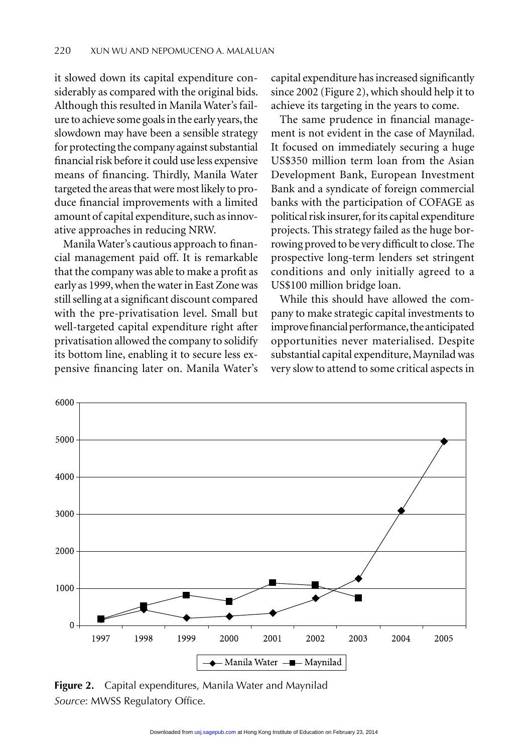it slowed down its capital expenditure considerably as compared with the original bids. Although this resulted in Manila Water's failure to achieve some goals in the early years, the slowdown may have been a sensible strategy for protecting the company against substantial financial risk before it could use less expensive means of financing. Thirdly, Manila Water targeted the areas that were most likely to produce financial improvements with a limited amount of capital expenditure, such as innovative approaches in reducing NRW.

Manila Water's cautious approach to financial management paid off. It is remarkable that the company was able to make a profit as early as 1999, when the water in East Zone was still selling at a significant discount compared with the pre-privatisation level. Small but well-targeted capital expenditure right after privatisation allowed the company to solidify its bottom line, enabling it to secure less expensive financing later on. Manila Water's capital expenditure has increased significantly since 2002 (Figure 2), which should help it to achieve its targeting in the years to come.

The same prudence in financial management is not evident in the case of Maynilad. It focused on immediately securing a huge US\$350 million term loan from the Asian Development Bank, European Investment Bank and a syndicate of foreign commercial banks with the participation of COFAGE as political risk insurer, for its capital expenditure projects. This strategy failed as the huge borrowing proved to be very difficult to close. The prospective long-term lenders set stringent conditions and only initially agreed to a US\$100 million bridge loan.

While this should have allowed the company to make strategic capital investments to improve financial performance, the anticipated opportunities never materialised. Despite substantial capital expenditure, Maynilad was very slow to attend to some critical aspects in



**Figure 2.** Capital expenditures, Manila Water and Maynilad **Source: MWSS Regulatory Office.**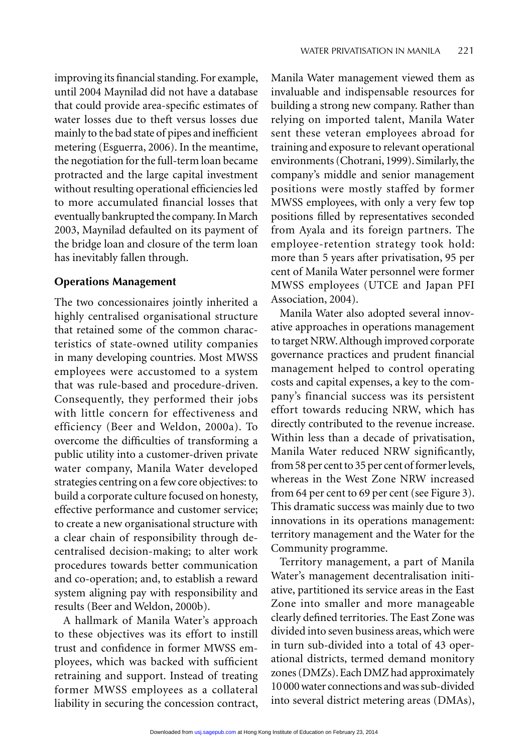improving its financial standing. For example, until 2004 Maynilad did not have a database that could provide area-specific estimates of water losses due to theft versus losses due mainly to the bad state of pipes and inefficient metering (Esguerra, 2006). In the meantime, the negotiation for the full-term loan became protracted and the large capital investment without resulting operational efficiencies led to more accumulated financial losses that eventually bankrupted the company. In March 2003, Maynilad defaulted on its payment of the bridge loan and closure of the term loan has inevitably fallen through.

#### **Operations Management**

The two concessionaires jointly inherited a highly centralised organisational structure that retained some of the common characteristics of state-owned utility companies in many developing countries. Most MWSS employees were accustomed to a system that was rule-based and procedure-driven. Consequently, they performed their jobs with little concern for effectiveness and efficiency (Beer and Weldon, 2000a). To overcome the difficulties of transforming a public utility into a customer-driven private water company, Manila Water developed strategies centring on a few core objectives: to build a corporate culture focused on honesty, effective performance and customer service; to create a new organisational structure with a clear chain of responsibility through decentralised decision-making; to alter work procedures towards better communication and co-operation; and, to establish a reward system aligning pay with responsibility and results (Beer and Weldon, 2000b).

A hallmark of Manila Water's approach to these objectives was its effort to instill trust and confidence in former MWSS employees, which was backed with sufficient retraining and support. Instead of treating former MWSS employees as a collateral liability in securing the concession contract,

Manila Water management viewed them as invaluable and indispensable resources for building a strong new company. Rather than relying on imported talent, Manila Water sent these veteran employees abroad for training and exposure to relevant operational environments (Chotrani, 1999). Similarly, the company's middle and senior management positions were mostly staffed by former MWSS employees, with only a very few top positions filled by representatives seconded from Ayala and its foreign partners. The employee-retention strategy took hold: more than 5 years after privatisation, 95 per cent of Manila Water personnel were former MWSS employees (UTCE and Japan PFI Association, 2004).

Manila Water also adopted several innovative approaches in operations management to target NRW. Although improved corporate governance practices and prudent financial management helped to control operating costs and capital expenses, a key to the company's financial success was its persistent effort towards reducing NRW, which has directly contributed to the revenue increase. Within less than a decade of privatisation, Manila Water reduced NRW significantly, from 58 per cent to 35 per cent of former levels, whereas in the West Zone NRW increased from 64 per cent to 69 per cent (see Figure 3). This dramatic success was mainly due to two innovations in its operations management: territory management and the Water for the Community programme.

Territory management, a part of Manila Water's management decentralisation initiative, partitioned its service areas in the East Zone into smaller and more manageable clearly defined territories. The East Zone was divided into seven business areas, which were in turn sub-divided into a total of 43 operational districts, termed demand monitory zones (DMZs). Each DMZ had approximately 10 000 water connections and was sub-divided [into severa](http://usj.sagepub.com/)l district metering areas (DMAs),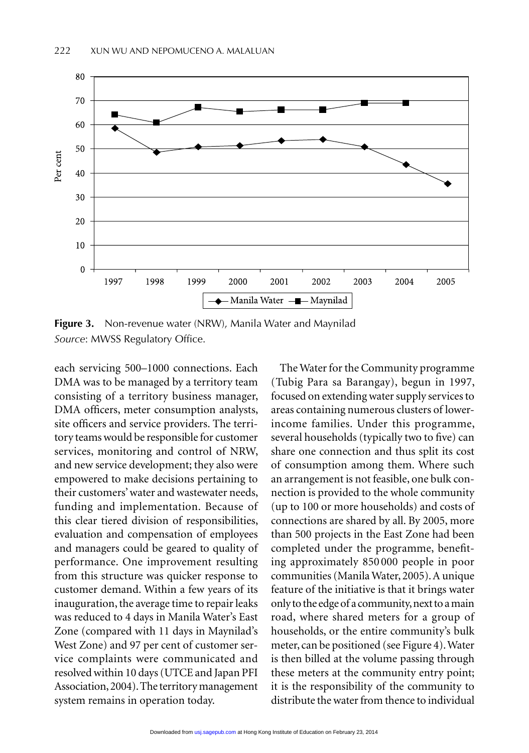

**Figure 3.** Non-revenue water (NRW), Manila Water and Maynilad Source: MWSS Regulatory Office.

each servicing 500–1000 connections. Each DMA was to be managed by a territory team consisting of a territory business manager, DMA officers, meter consumption analysts, site officers and service providers. The territory teams would be responsible for customer services, monitoring and control of NRW, and new service development; they also were empowered to make decisions pertaining to their customers' water and wastewater needs, funding and implementation. Because of this clear tiered division of responsibilities, evaluation and compensation of employees and managers could be geared to quality of performance. One improvement resulting from this structure was quicker response to customer demand. Within a few years of its inauguration, the average time to repair leaks was reduced to 4 days in Manila Water's East Zone (compared with 11 days in Maynilad's West Zone) and 97 per cent of customer service complaints were communicated and resolved within 10 days (UTCE and Japan PFI Association, 2004). The territory management system remains in operation today.

The Water for the Community programme (Tubig Para sa Barangay), begun in 1997, focused on extending water supply services to areas containing numerous clusters of lowerincome families. Under this programme, several households (typically two to five) can share one connection and thus split its cost of consumption among them. Where such an arrangement is not feasible, one bulk connection is provided to the whole community (up to 100 or more households) and costs of connections are shared by all. By 2005, more than 500 projects in the East Zone had been completed under the programme, benefiting approximately 850 000 people in poor communities (Manila Water, 2005). A unique feature of the initiative is that it brings water only to the edge of a community, next to a main road, where shared meters for a group of households, or the entire community's bulk meter, can be positioned (see Figure 4). Water is then billed at the volume passing through these meters at the community entry point; it is the responsibility of the community to [distribute t](http://usj.sagepub.com/)he water from thence to individual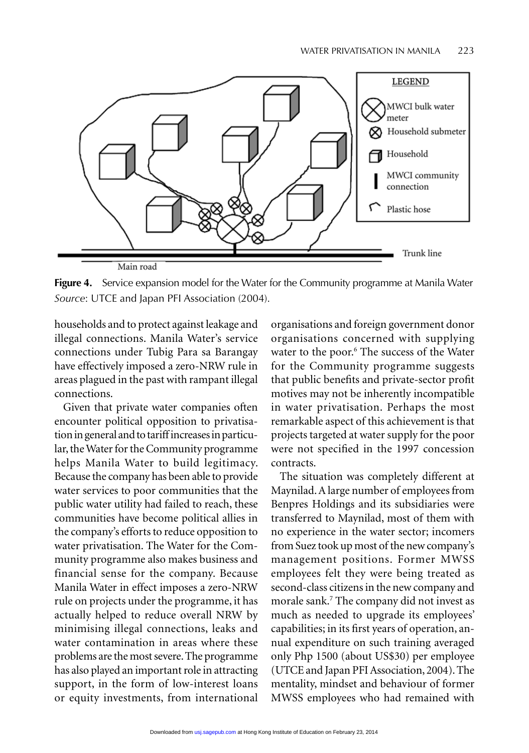

**Figure 4.** Service expansion model for the Water for the Community programme at Manila Water *Source*: UTCE and Japan PFI Association (2004).

households and to protect against leakage and illegal connections. Manila Water's service connections under Tubig Para sa Barangay have effectively imposed a zero-NRW rule in areas plagued in the past with rampant illegal connections.

Given that private water companies often encounter political opposition to privatisation in general and to tariff increases in particular, the Water for the Community programme helps Manila Water to build legitimacy. Because the company has been able to provide water services to poor communities that the public water utility had failed to reach, these communities have become political allies in the company's efforts to reduce opposition to water privatisation. The Water for the Community programme also makes business and financial sense for the company. Because Manila Water in effect imposes a zero-NRW rule on projects under the programme, it has actually helped to reduce overall NRW by minimising illegal connections, leaks and water contamination in areas where these problems are the most severe. The programme has also played an important role in attracting support, in the form of low-interest loans or equity investments, from international

organisations and foreign government donor organisations concerned with supplying water to the poor.<sup>6</sup> The success of the Water for the Community programme suggests that public benefits and private-sector profit motives may not be inherently incompatible in water privatisation. Perhaps the most remarkable aspect of this achievement is that projects targeted at water supply for the poor were not specified in the 1997 concession contracts.

The situation was completely different at Maynilad. A large number of employees from Benpres Holdings and its subsidiaries were transferred to Maynilad, most of them with no experience in the water sector; incomers from Suez took up most of the new company's management positions. Former MWSS employees felt they were being treated as second-class citizens in the new company and morale sank.<sup>7</sup> The company did not invest as much as needed to upgrade its employees' capabilities; in its first years of operation, annual expenditure on such training averaged only Php 1500 (about US\$30) per employee (UTCE and Japan PFI Association, 2004). The mentality, mindset and behaviour of former MWSS employees who had remained with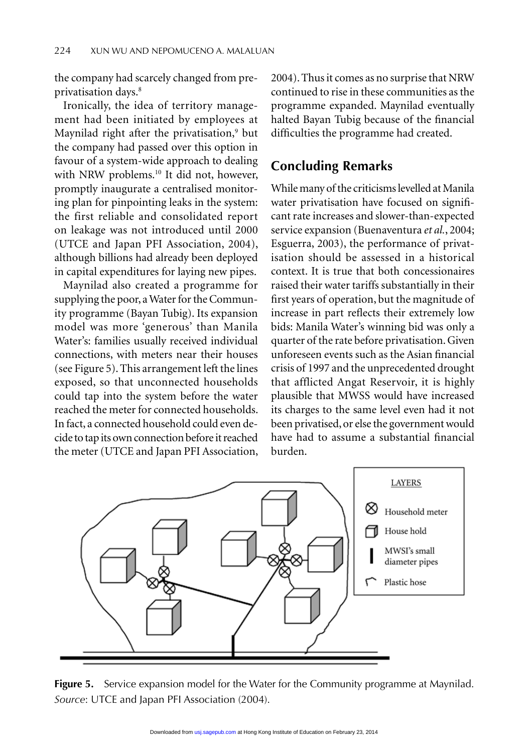the company had scarcely changed from preprivatisation days.<sup>8</sup>

Ironically, the idea of territory management had been initiated by employees at Maynilad right after the privatisation,<sup>9</sup> but the company had passed over this option in favour of a system-wide approach to dealing with NRW problems.<sup>10</sup> It did not, however, promptly inaugurate a centralised monitoring plan for pinpointing leaks in the system: the first reliable and consolidated report on leakage was not introduced until 2000 (UTCE and Japan PFI Association, 2004), although billions had already been deployed in capital expenditures for laying new pipes.

Maynilad also created a programme for supplying the poor, a Water for the Community programme (Bayan Tubig). Its expansion model was more 'generous' than Manila Water's: families usually received individual connections, with meters near their houses (see Figure 5). This arrangement left the lines exposed, so that unconnected households could tap into the system before the water reached the meter for connected households. In fact, a connected household could even decide to tap its own connection before it reached the meter (UTCE and Japan PFI Association, 2004). Thus it comes as no surprise that NRW continued to rise in these communities as the programme expanded. Maynilad eventually halted Bayan Tubig because of the financial difficulties the programme had created.

# **Concluding Remarks**

While many of the criticisms levelled at Manila water privatisation have focused on significant rate increases and slower-than-expected service expansion (Buenaventura *et al.*, 2004; Esguerra, 2003), the performance of privatisation should be assessed in a historical context. It is true that both concessionaires raised their water tariffs substantially in their first years of operation, but the magnitude of increase in part reflects their extremely low bids: Manila Water's winning bid was only a quarter of the rate before privatisation. Given unforeseen events such as the Asian financial crisis of 1997 and the unprecedented drought that afflicted Angat Reservoir, it is highly plausible that MWSS would have increased its charges to the same level even had it not been privatised, or else the government would have had to assume a substantial financial burden.



**Figure 5.** Service expansion model for the Water for the Community programme at Maynilad. *Source*: UTCE and Japan PFI Association (2004).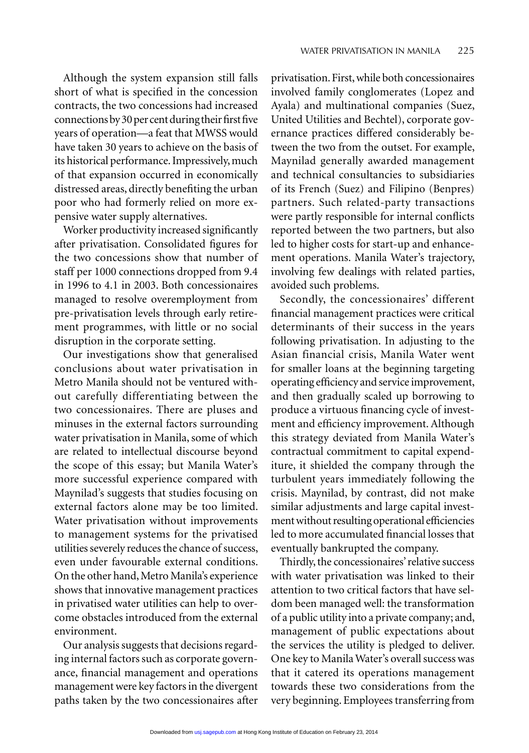Although the system expansion still falls short of what is specified in the concession contracts, the two concessions had increased connections by 30 per cent during their first five years of operation—a feat that MWSS would have taken 30 years to achieve on the basis of its historical performance. Impressively, much of that expansion occurred in economically distressed areas, directly benefiting the urban poor who had formerly relied on more expensive water supply alternatives.

Worker productivity increased significantly after privatisation. Consolidated figures for the two concessions show that number of staff per 1000 connections dropped from 9.4 in 1996 to 4.1 in 2003. Both concessionaires managed to resolve overemployment from pre-privatisation levels through early retirement programmes, with little or no social disruption in the corporate setting.

Our investigations show that generalised conclusions about water privatisation in Metro Manila should not be ventured without carefully differentiating between the two concessionaires. There are pluses and minuses in the external factors surrounding water privatisation in Manila, some of which are related to intellectual discourse beyond the scope of this essay; but Manila Water's more successful experience compared with Maynilad's suggests that studies focusing on external factors alone may be too limited. Water privatisation without improvements to management systems for the privatised utilities severely reduces the chance of success, even under favourable external conditions. On the other hand, Metro Manila's experience shows that innovative management practices in privatised water utilities can help to overcome obstacles introduced from the external environment.

Our analysis suggests that decisions regarding internal factors such as corporate governance, financial management and operations management were key factors in the divergent paths taken by the two concessionaires after

privatisation. First, while both concessionaires involved family conglomerates (Lopez and Ayala) and multinational companies (Suez, United Utilities and Bechtel), corporate governance practices differed considerably between the two from the outset. For example, Maynilad generally awarded management and technical consultancies to subsidiaries of its French (Suez) and Filipino (Benpres) partners. Such related-party transactions were partly responsible for internal conflicts reported between the two partners, but also led to higher costs for start-up and enhancement operations. Manila Water's trajectory, involving few dealings with related parties, avoided such problems.

Secondly, the concessionaires' different financial management practices were critical determinants of their success in the years following privatisation. In adjusting to the Asian financial crisis, Manila Water went for smaller loans at the beginning targeting operating efficiency and service improvement, and then gradually scaled up borrowing to produce a virtuous financing cycle of investment and efficiency improvement. Although this strategy deviated from Manila Water's contractual commitment to capital expenditure, it shielded the company through the turbulent years immediately following the crisis. Maynilad, by contrast, did not make similar adjustments and large capital investment without resulting operational efficiencies led to more accumulated financial losses that eventually bankrupted the company.

Thirdly, the concessionaires' relative success with water privatisation was linked to their attention to two critical factors that have seldom been managed well: the transformation of a public utility into a private company; and, management of public expectations about the services the utility is pledged to deliver. One key to Manila Water's overall success was that it catered its operations management towards these two considerations from the [very begin](http://usj.sagepub.com/)ning. Employees transferring from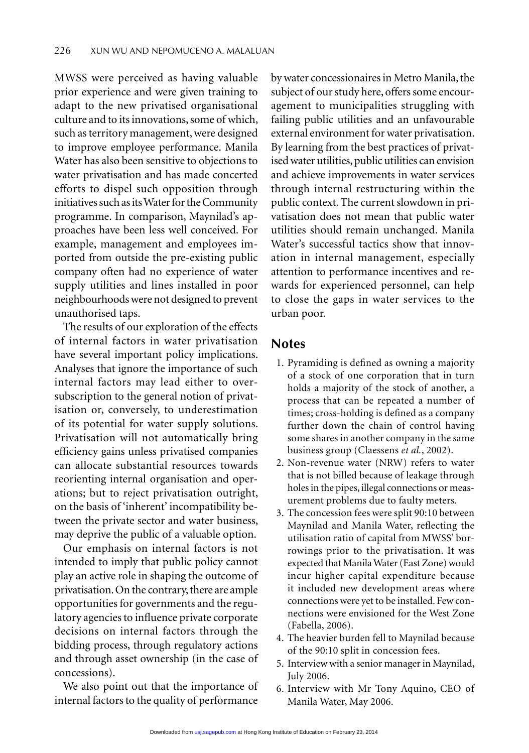MWSS were perceived as having valuable prior experience and were given training to adapt to the new privatised organisational culture and to its innovations, some of which, such as territory management, were designed to improve employee performance. Manila Water has also been sensitive to objections to water privatisation and has made concerted efforts to dispel such opposition through initiatives such as its Water for the Community programme. In comparison, Maynilad's approaches have been less well conceived. For example, management and employees imported from outside the pre-existing public company often had no experience of water supply utilities and lines installed in poor neighbourhoods were not designed to prevent unauthorised taps.

The results of our exploration of the effects of internal factors in water privatisation have several important policy implications. Analyses that ignore the importance of such internal factors may lead either to oversubscription to the general notion of privatisation or, conversely, to underestimation of its potential for water supply solutions. Privatisation will not automatically bring efficiency gains unless privatised companies can allocate substantial resources towards reorienting internal organisation and operations; but to reject privatisation outright, on the basis of 'inherent' incompatibility between the private sector and water business, may deprive the public of a valuable option.

Our emphasis on internal factors is not intended to imply that public policy cannot play an active role in shaping the outcome of privatisation. On the contrary, there are ample opportunities for governments and the regulatory agencies to influence private corporate decisions on internal factors through the bidding process, through regulatory actions and through asset ownership (in the case of concessions).

We also point out that the importance of internal factors to the quality of performance by water concessionaires in Metro Manila, the subject of our study here, offers some encouragement to municipalities struggling with failing public utilities and an unfavourable external environment for water privatisation. By learning from the best practices of privatised water utilities, public utilities can envision and achieve improvements in water services through internal restructuring within the public context. The current slowdown in privatisation does not mean that public water utilities should remain unchanged. Manila Water's successful tactics show that innovation in internal management, especially attention to performance incentives and rewards for experienced personnel, can help to close the gaps in water services to the urban poor.

## **Notes**

- 1. Pyramiding is defined as owning a majority of a stock of one corporation that in turn holds a majority of the stock of another, a process that can be repeated a number of times; cross-holding is defined as a company further down the chain of control having some shares in another company in the same business group (Claessens *et al.*, 2002).
- 2. Non-revenue water (NRW) refers to water that is not billed because of leakage through holes in the pipes, illegal connections or measurement problems due to faulty meters.
- 3. The concession fees were split 90:10 between Maynilad and Manila Water, reflecting the utilisation ratio of capital from MWSS' borrowings prior to the privatisation. It was expected that Manila Water (East Zone) would incur higher capital expenditure because it included new development areas where connections were yet to be installed. Few connections were envisioned for the West Zone (Fabella, 2006).
- 4. The heavier burden fell to Maynilad because of the 90:10 split in concession fees.
- 5. Interview with a senior manager in Maynilad, July 2006.
- 6. Interview with Mr Tony Aquino, CEO of [Manila](http://usj.sagepub.com/) Water, May 2006.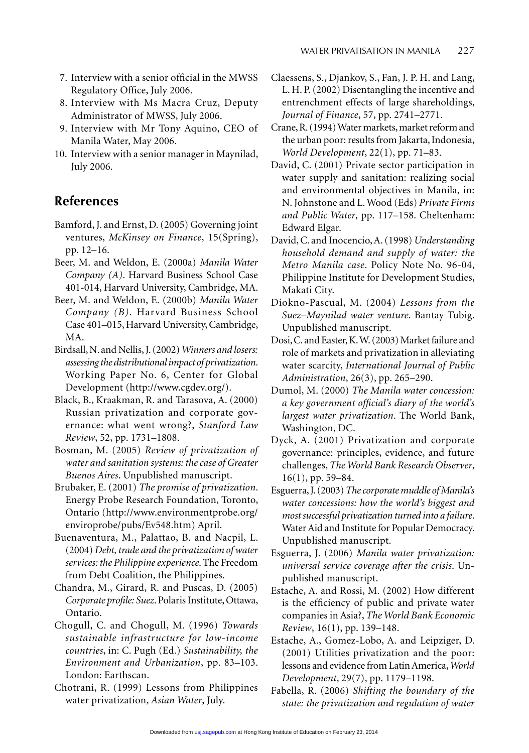- 7. Interview with a senior official in the MWSS Regulatory Office, July 2006.
- 8. Interview with Ms Macra Cruz, Deputy Administrator of MWSS, July 2006.
- 9. Interview with Mr Tony Aquino, CEO of Manila Water, May 2006.
- 10. Interview with a senior manager in Maynilad, July 2006.

# **References**

- Bamford, J. and Ernst, D. (2005) Governing joint ventures, *McKinsey on Finance*, 15(Spring), pp. 12–16.
- Beer, M. and Weldon, E. (2000a) *Manila Water Company (A)*. Harvard Business School Case 401-014, Harvard University, Cambridge, MA.
- Beer, M. and Weldon, E. (2000b) *Manila Water Company (B)*. Harvard Business School Case 401–015, Harvard University, Cambridge, MA.
- Birdsall, N. and Nellis, J. (2002) *Winners and losers: assessing the distributional impact of privatization*. Working Paper No. 6, Center for Global Development (http://www.cgdev.org/).
- Black, B., Kraakman, R. and Tarasova, A. (2000) Russian privatization and corporate governance: what went wrong?, *Stanford Law Review*, 52, pp. 1731–1808.
- Bosman, M. (2005) *Review of privatization of water and sanitation systems: the case of Greater Buenos Aires*. Unpublished manuscript.
- Brubaker, E. (2001) *The promise of privatization*. Energy Probe Research Foundation, Toronto, Ontario (http://www.environmentprobe.org/ enviroprobe/pubs/Ev548.htm) April.
- Buenaventura, M., Palattao, B. and Nacpil, L. (2004) *Debt, trade and the privatization of water services: the Philippine experience*. The Freedom from Debt Coalition, the Philippines.
- Chandra, M., Girard, R. and Puscas, D. (2005) *Corporate profi le: Suez*. Polaris Institute, Ottawa, Ontario.
- Chogull, C. and Chogull, M. (1996) *Towards sustainable infrastructure for low-income countries*, in: C. Pugh (Ed.) *Sustainability, the Environment and Urbanization*, pp. 83–103. London: Earthscan.
- Chotrani, R. (1999) Lessons from Philippines water privatization, *Asian Water*, July.
- Claessens, S., Djankov, S., Fan, J. P. H. and Lang, L. H. P. (2002) Disentangling the incentive and entrenchment effects of large shareholdings, *Journal of Finance*, 57, pp. 2741–2771.
- Crane, R. (1994) Water markets, market reform and the urban poor: results from Jakarta, Indonesia, *World Development*, 22(1), pp. 71–83.
- David, C. (2001) Private sector participation in water supply and sanitation: realizing social and environmental objectives in Manila, in: N. Johnstone and L. Wood (Eds) *Private Firms and Public Water*, pp. 117–158. Cheltenham: Edward Elgar.
- David, C. and Inocencio, A. (1998) *Understanding household demand and supply of water: the Metro Manila case*. Policy Note No. 96-04, Philippine Institute for Development Studies, Makati City.
- Diokno-Pascual, M. (2004) *Lessons from the Suez–Maynilad water venture*. Bantay Tubig. Unpublished manuscript.
- Dosi, C. and Easter, K. W. (2003) Market failure and role of markets and privatization in alleviating water scarcity, *International Journal of Public Administration*, 26(3), pp. 265–290.
- Dumol, M. (2000) *The Manila water concession: a key government offi cial's diary of the world's largest water privatization*. The World Bank, Washington, DC.
- Dyck, A. (2001) Privatization and corporate governance: principles, evidence, and future challenges, *The World Bank Research Observer*, 16(1), pp. 59–84.
- Esguerra, J. (2003) *The corporate muddle of Manila's water concessions: how the world's biggest and most successful privatization turned into a failure*. Water Aid and Institute for Popular Democracy. Unpublished manuscript.
- Esguerra, J. (2006) *Manila water privatization: universal service coverage after the crisis*. Unpublished manuscript.
- Estache, A. and Rossi, M. (2002) How different is the efficiency of public and private water companies in Asia?, *The World Bank Economic Review*, 16(1), pp. 139–148.
- Estache, A., Gomez-Lobo, A. and Leipziger, D. (2001) Utilities privatization and the poor: lessons and evidence from Latin America, *World Development*, 29(7), pp. 1179–1198.
- Fabella, R. (2006) *Shifting the boundary of the [state: the](http://usj.sagepub.com/) privatization and regulation of water*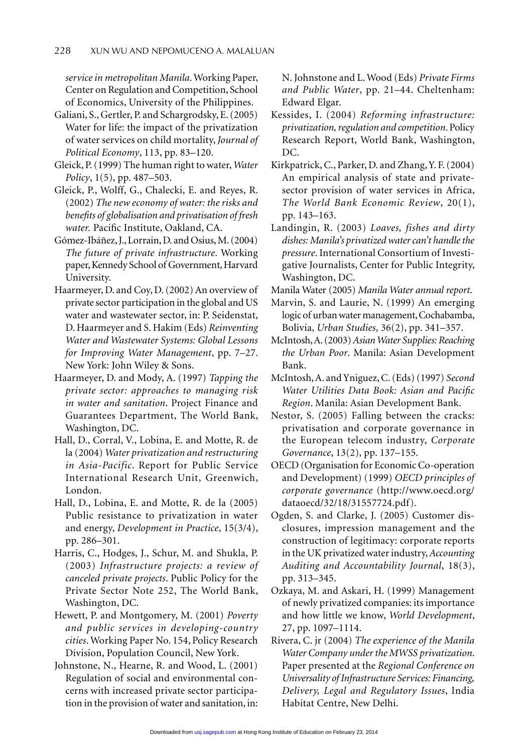*service in metropolitan Manila*. Working Paper, Center on Regulation and Competition, School of Economics, University of the Philippines.

- Galiani, S., Gertler, P. and Schargrodsky, E. (2005) Water for life: the impact of the privatization of water services on child mortality, *Journal of Political Economy*, 113, pp. 83–120.
- Gleick, P. (1999) The human right to water, *Water Policy*, 1(5), pp. 487–503.
- Gleick, P., Wolff, G., Chalecki, E. and Reyes, R. (2002) *The new economy of water: the risks and benefi ts of globalisation and privatisation of fresh water.* Pacific Institute, Oakland, CA.
- Gómez-Ibáñez, J., Lorrain, D. and Osius, M. (2004) *The future of private infrastructure*. Working paper, Kennedy School of Government, Harvard University.
- Haarmeyer, D. and Coy, D. (2002) An overview of private sector participation in the global and US water and wastewater sector, in: P. Seidenstat, D. Haarmeyer and S. Hakim (Eds) *Reinventing Water and Wastewater Systems: Global Lessons for Improving Water Management*, pp. 7–27. New York: John Wiley & Sons.
- Haarmeyer, D. and Mody, A. (1997) *Tapping the private sector: approaches to managing risk in water and sanitation*. Project Finance and Guarantees Department, The World Bank, Washington, DC.
- Hall, D., Corral, V., Lobina, E. and Motte, R. de la (2004) *Water privatization and restructuring in Asia-Pacific*. Report for Public Service International Research Unit, Greenwich, London.
- Hall, D., Lobina, E. and Motte, R. de la (2005) Public resistance to privatization in water and energy, *Development in Practice*, 15(3/4), pp. 286–301.
- Harris, C., Hodges, J., Schur, M. and Shukla, P. (2003) *Infrastructure projects: a review of canceled private projects*. Public Policy for the Private Sector Note 252, The World Bank, Washington, DC.
- Hewett, P. and Montgomery, M. (2001) *Poverty and public services in developing-country cities*. Working Paper No. 154, Policy Research Division, Population Council, New York.
- Johnstone, N., Hearne, R. and Wood, L. (2001) Regulation of social and environmental concerns with increased private sector participation in the provision of water and sanitation, in:

N. Johnstone and L. Wood (Eds) *Private Firms and Public Water*, pp. 21–44. Cheltenham: Edward Elgar.

- Kessides, I. (2004) *Reforming infrastructure: privatization, regulation and competition*. Policy Research Report, World Bank, Washington, DC.
- Kirkpatrick, C., Parker, D. and Zhang, Y. F. (2004) An empirical analysis of state and privatesector provision of water services in Africa, *The World Bank Economic Review*, 20(1), pp. 143–163.
- Landingin, R. (2003) *Loaves, fishes and dirty dishes: Manila's privatized water can't handle the pressure*. International Consortium of Investigative Journalists, Center for Public Integrity, Washington, DC.
- Manila Water (2005) *Manila Water annual report*.
- Marvin, S. and Laurie, N. (1999) An emerging logic of urban water management, Cochabamba, Bolivia, *Urban Studies*, 36(2), pp. 341–357.
- McIntosh, A. (2003) *Asian Water Supplies: Reaching the Urban Poor*. Manila: Asian Development Bank.
- McIntosh, A. and Yniguez, C. (Eds) (1997) *Second Water Utilities Data Book: Asian and Pacific Region*. Manila: Asian Development Bank.
- Nestor, S. (2005) Falling between the cracks: privatisation and corporate governance in the European telecom industry, *Corporate Governance*, 13(2), pp. 137–155.
- OECD (Organisation for Economic Co-operation and Development) (1999) *OECD principles of corporate governance* (http://www.oecd.org/ dataoecd/32/18/31557724.pdf).
- Ogden, S. and Clarke, J. (2005) Customer disclosures, impression management and the construction of legitimacy: corporate reports in the UK privatized water industry, *Accounting Auditing and Accountability Journal*, 18(3), pp. 313–345.
- Ozkaya, M. and Askari, H. (1999) Management of newly privatized companies: its importance and how little we know, *World Development*, 27, pp. 1097–1114.
- Rivera, C. jr (2004) *The experience of the Manila Water Company under the MWSS privatization*. Paper presented at the *Regional Conference on Universality of Infrastructure Services: Financing, Delivery, Legal and Regulatory Issues*, India [Habitat C](http://usj.sagepub.com/)entre, New Delhi.